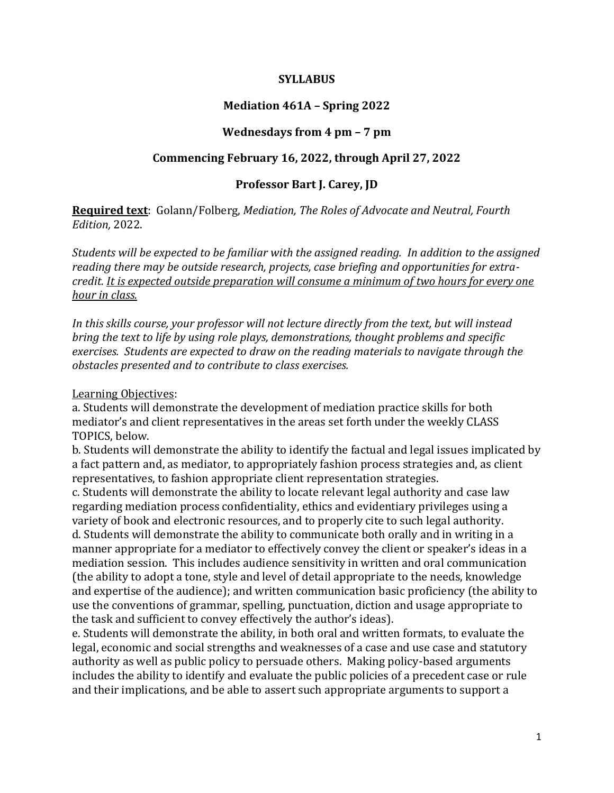#### **SYLLABUS**

### **Mediation 461A – Spring 2022**

### **Wednesdays from 4 pm – 7 pm**

#### **Commencing February 16, 2022, through April 27, 2022**

#### **Professor Bart J. Carey, JD**

**Required text**: Golann/Folberg, *Mediation, The Roles of Advocate and Neutral, Fourth Edition,* 2022.

*Students will be expected to be familiar with the assigned reading. In addition to the assigned reading there may be outside research, projects, case briefing and opportunities for extracredit. It is expected outside preparation will consume a minimum of two hours for every one hour in class.*

*In this skills course, your professor will not lecture directly from the text, but will instead bring the text to life by using role plays, demonstrations, thought problems and specific exercises. Students are expected to draw on the reading materials to navigate through the obstacles presented and to contribute to class exercises.* 

#### Learning Objectives:

a. Students will demonstrate the development of mediation practice skills for both mediator's and client representatives in the areas set forth under the weekly CLASS TOPICS, below.

b. Students will demonstrate the ability to identify the factual and legal issues implicated by a fact pattern and, as mediator, to appropriately fashion process strategies and, as client representatives, to fashion appropriate client representation strategies.

c. Students will demonstrate the ability to locate relevant legal authority and case law regarding mediation process confidentiality, ethics and evidentiary privileges using a variety of book and electronic resources, and to properly cite to such legal authority. d. Students will demonstrate the ability to communicate both orally and in writing in a manner appropriate for a mediator to effectively convey the client or speaker's ideas in a mediation session. This includes audience sensitivity in written and oral communication (the ability to adopt a tone, style and level of detail appropriate to the needs, knowledge and expertise of the audience); and written communication basic proficiency (the ability to use the conventions of grammar, spelling, punctuation, diction and usage appropriate to the task and sufficient to convey effectively the author's ideas).

e. Students will demonstrate the ability, in both oral and written formats, to evaluate the legal, economic and social strengths and weaknesses of a case and use case and statutory authority as well as public policy to persuade others. Making policy-based arguments includes the ability to identify and evaluate the public policies of a precedent case or rule and their implications, and be able to assert such appropriate arguments to support a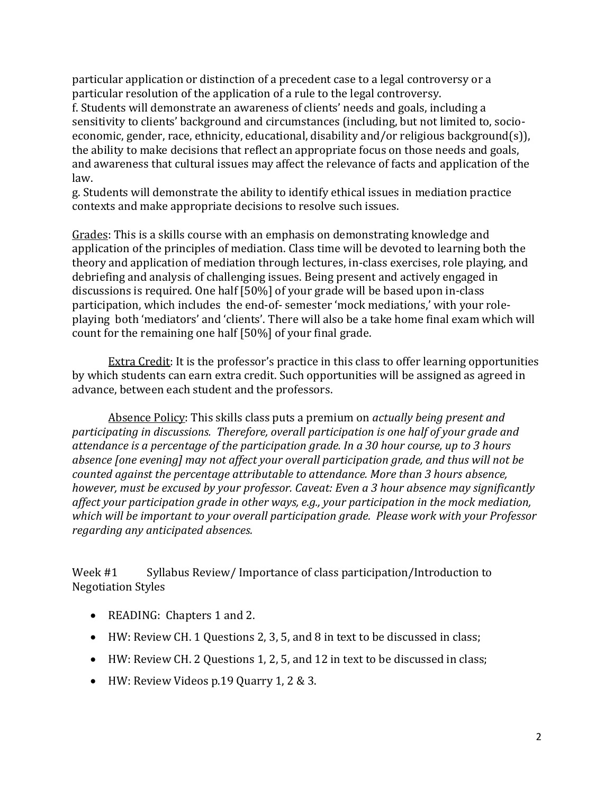particular application or distinction of a precedent case to a legal controversy or a particular resolution of the application of a rule to the legal controversy.

f. Students will demonstrate an awareness of clients' needs and goals, including a sensitivity to clients' background and circumstances (including, but not limited to, socioeconomic, gender, race, ethnicity, educational, disability and/or religious background(s)), the ability to make decisions that reflect an appropriate focus on those needs and goals, and awareness that cultural issues may affect the relevance of facts and application of the law.

g. Students will demonstrate the ability to identify ethical issues in mediation practice contexts and make appropriate decisions to resolve such issues.

Grades: This is a skills course with an emphasis on demonstrating knowledge and application of the principles of mediation. Class time will be devoted to learning both the theory and application of mediation through lectures, in-class exercises, role playing, and debriefing and analysis of challenging issues. Being present and actively engaged in discussions is required. One half [50%] of your grade will be based upon in-class participation, which includes the end-of- semester 'mock mediations,' with your roleplaying both 'mediators' and 'clients'. There will also be a take home final exam which will count for the remaining one half [50%] of your final grade.

Extra Credit: It is the professor's practice in this class to offer learning opportunities by which students can earn extra credit. Such opportunities will be assigned as agreed in advance, between each student and the professors.

Absence Policy: This skills class puts a premium on *actually being present and participating in discussions. Therefore, overall participation is one half of your grade and attendance is a percentage of the participation grade. In a 30 hour course, up to 3 hours absence [one evening] may not affect your overall participation grade, and thus will not be counted against the percentage attributable to attendance. More than 3 hours absence, however, must be excused by your professor. Caveat: Even a 3 hour absence may significantly affect your participation grade in other ways, e.g., your participation in the mock mediation, which will be important to your overall participation grade. Please work with your Professor regarding any anticipated absences.* 

Week #1 Syllabus Review/ Importance of class participation/Introduction to Negotiation Styles

- READING: Chapters 1 and 2.
- HW: Review CH. 1 Questions 2, 3, 5, and 8 in text to be discussed in class;
- HW: Review CH. 2 Questions 1, 2, 5, and 12 in text to be discussed in class;
- HW: Review Videos p.19 Quarry 1, 2 & 3.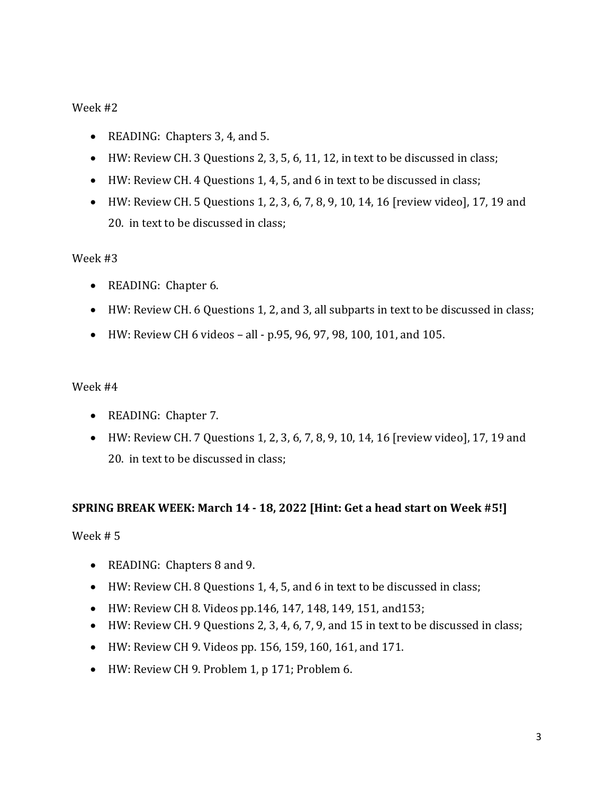# Week #2

- READING: Chapters 3, 4, and 5.
- HW: Review CH. 3 Questions 2, 3, 5, 6, 11, 12, in text to be discussed in class;
- HW: Review CH. 4 Questions 1, 4, 5, and 6 in text to be discussed in class;
- HW: Review CH. 5 Questions 1, 2, 3, 6, 7, 8, 9, 10, 14, 16 [review video], 17, 19 and 20. in text to be discussed in class;

### Week #3

- READING: Chapter 6.
- HW: Review CH. 6 Questions 1, 2, and 3, all subparts in text to be discussed in class;
- HW: Review CH 6 videos all p.95, 96, 97, 98, 100, 101, and 105.

### Week #4

- READING: Chapter 7.
- HW: Review CH. 7 Questions 1, 2, 3, 6, 7, 8, 9, 10, 14, 16 [review video], 17, 19 and 20. in text to be discussed in class;

### **SPRING BREAK WEEK: March 14 - 18, 2022 [Hint: Get a head start on Week #5!]**

Week # 5

- READING: Chapters 8 and 9.
- HW: Review CH. 8 Questions 1, 4, 5, and 6 in text to be discussed in class;
- HW: Review CH 8. Videos pp.146, 147, 148, 149, 151, and153;
- HW: Review CH. 9 Questions 2, 3, 4, 6, 7, 9, and 15 in text to be discussed in class;
- HW: Review CH 9. Videos pp. 156, 159, 160, 161, and 171.
- HW: Review CH 9. Problem 1, p 171; Problem 6.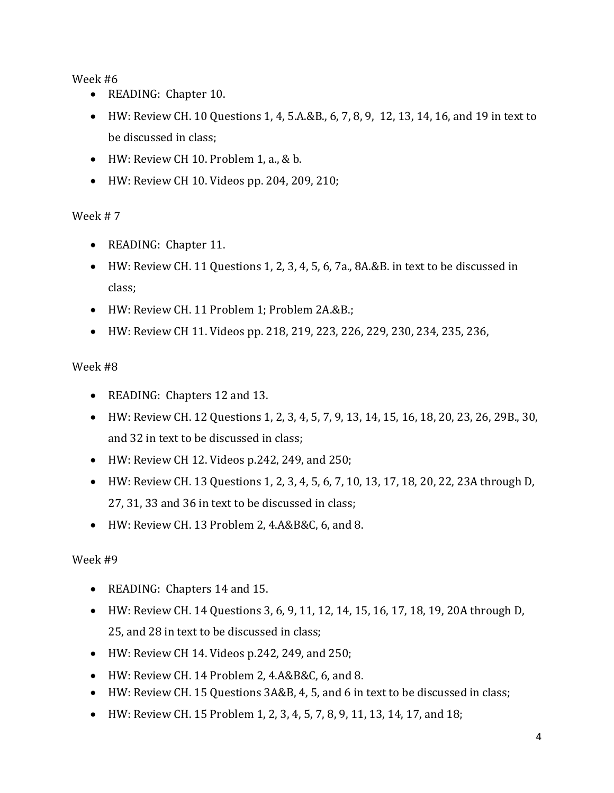# Week #6

- READING: Chapter 10.
- HW: Review CH. 10 Questions 1, 4, 5.A.&B., 6, 7, 8, 9, 12, 13, 14, 16, and 19 in text to be discussed in class;
- $\bullet$  HW: Review CH 10. Problem 1, a., & b.
- HW: Review CH 10. Videos pp. 204, 209, 210;

# Week # 7

- READING: Chapter 11.
- HW: Review CH. 11 Questions 1, 2, 3, 4, 5, 6, 7a., 8A.&B. in text to be discussed in class;
- HW: Review CH. 11 Problem 1; Problem 2A.&B.;
- HW: Review CH 11. Videos pp. 218, 219, 223, 226, 229, 230, 234, 235, 236,

# Week #8

- READING: Chapters 12 and 13.
- HW: Review CH. 12 Questions 1, 2, 3, 4, 5, 7, 9, 13, 14, 15, 16, 18, 20, 23, 26, 29B., 30, and 32 in text to be discussed in class;
- HW: Review CH 12. Videos p.242, 249, and 250;
- HW: Review CH. 13 Questions 1, 2, 3, 4, 5, 6, 7, 10, 13, 17, 18, 20, 22, 23A through D, 27, 31, 33 and 36 in text to be discussed in class;
- HW: Review CH. 13 Problem 2, 4.A&B&C, 6, and 8.

# Week #9

- READING: Chapters 14 and 15.
- HW: Review CH. 14 Questions 3, 6, 9, 11, 12, 14, 15, 16, 17, 18, 19, 20A through D, 25, and 28 in text to be discussed in class;
- HW: Review CH 14. Videos p.242, 249, and 250;
- HW: Review CH. 14 Problem 2, 4.A&B&C, 6, and 8.
- HW: Review CH. 15 Questions 3A&B, 4, 5, and 6 in text to be discussed in class;
- HW: Review CH. 15 Problem 1, 2, 3, 4, 5, 7, 8, 9, 11, 13, 14, 17, and 18;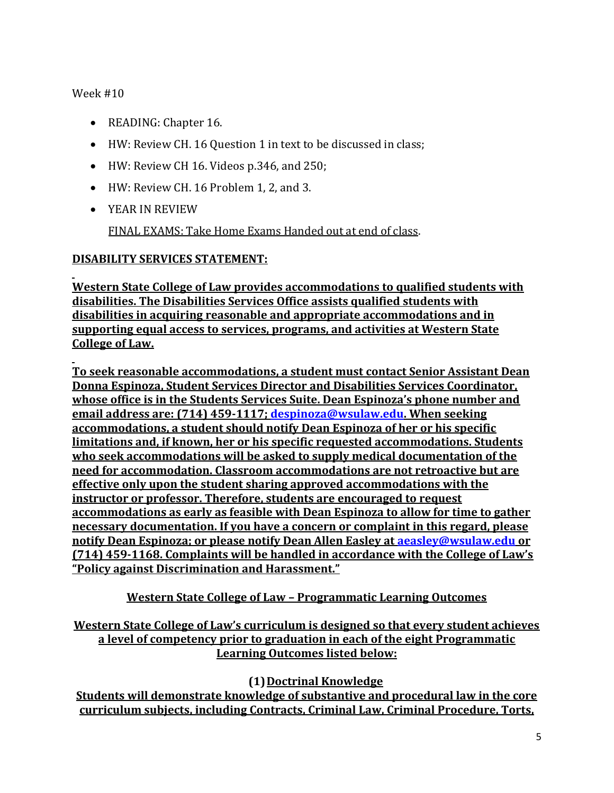Week #10

- READING: Chapter 16.
- HW: Review CH. 16 Question 1 in text to be discussed in class;
- HW: Review CH 16. Videos p.346, and 250;
- HW: Review CH. 16 Problem 1, 2, and 3.
- YEAR IN REVIEW

FINAL EXAMS: Take Home Exams Handed out at end of class.

# **DISABILITY SERVICES STATEMENT:**

**Western State College of Law provides accommodations to qualified students with disabilities. The Disabilities Services Office assists qualified students with disabilities in acquiring reasonable and appropriate accommodations and in supporting equal access to services, programs, and activities at Western State College of Law.**

**To seek reasonable accommodations, a student must contact Senior Assistant Dean Donna Espinoza, Student Services Director and Disabilities Services Coordinator, whose office is in the Students Services Suite. Dean Espinoza's phone number and email address are: (714) 459-1117; [despinoza@wsulaw.edu.](mailto:despinoza@wsulaw.edu) When seeking accommodations, a student should notify Dean Espinoza of her or his specific limitations and, if known, her or his specific requested accommodations. Students who seek accommodations will be asked to supply medical documentation of the need for accommodation. Classroom accommodations are not retroactive but are effective only upon the student sharing approved accommodations with the instructor or professor. Therefore, students are encouraged to request accommodations as early as feasible with Dean Espinoza to allow for time to gather necessary documentation. If you have a concern or complaint in this regard, please notify Dean Espinoza; or please notify Dean Allen Easley at [aeasley@wsulaw.edu](mailto:aeasley@wsulaw.edu) or (714) 459-1168. Complaints will be handled in accordance with the College of Law's "Policy against Discrimination and Harassment."**

# **Western State College of Law – Programmatic Learning Outcomes**

# **Western State College of Law's curriculum is designed so that every student achieves a level of competency prior to graduation in each of the eight Programmatic Learning Outcomes listed below:**

**(1)Doctrinal Knowledge**

**Students will demonstrate knowledge of substantive and procedural law in the core curriculum subjects, including Contracts, Criminal Law, Criminal Procedure, Torts,**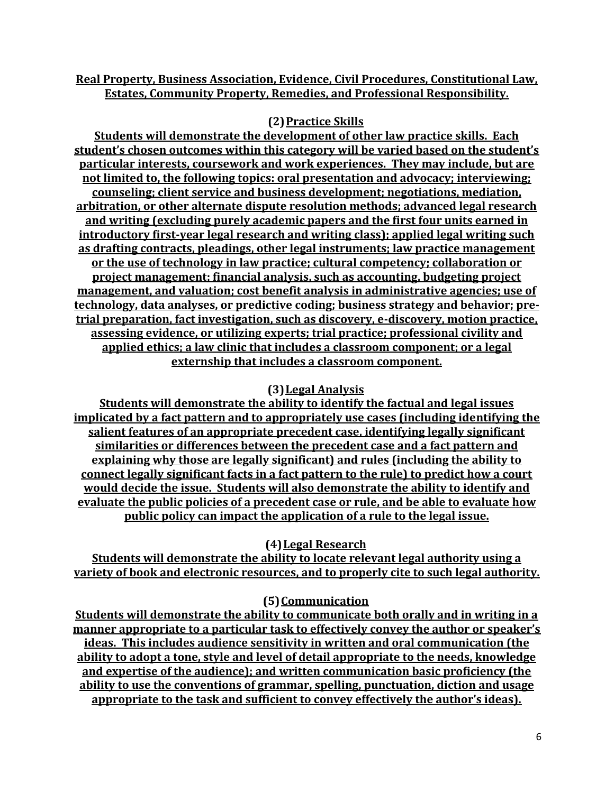# **Real Property, Business Association, Evidence, Civil Procedures, Constitutional Law, Estates, Community Property, Remedies, and Professional Responsibility.**

# **(2)Practice Skills**

**Students will demonstrate the development of other law practice skills. Each student's chosen outcomes within this category will be varied based on the student's particular interests, coursework and work experiences. They may include, but are not limited to, the following topics: oral presentation and advocacy; interviewing; counseling; client service and business development; negotiations, mediation, arbitration, or other alternate dispute resolution methods; advanced legal research and writing (excluding purely academic papers and the first four units earned in introductory first-year legal research and writing class); applied legal writing such as drafting contracts, pleadings, other legal instruments; law practice management or the use of technology in law practice; cultural competency; collaboration or project management; financial analysis, such as accounting, budgeting project management, and valuation; cost benefit analysis in administrative agencies; use of technology, data analyses, or predictive coding; business strategy and behavior; pretrial preparation, fact investigation, such as discovery, e-discovery, motion practice, assessing evidence, or utilizing experts; trial practice; professional civility and applied ethics; a law clinic that includes a classroom component; or a legal externship that includes a classroom component.** 

# **(3)Legal Analysis**

**Students will demonstrate the ability to identify the factual and legal issues implicated by a fact pattern and to appropriately use cases (including identifying the salient features of an appropriate precedent case, identifying legally significant similarities or differences between the precedent case and a fact pattern and explaining why those are legally significant) and rules (including the ability to connect legally significant facts in a fact pattern to the rule) to predict how a court would decide the issue. Students will also demonstrate the ability to identify and evaluate the public policies of a precedent case or rule, and be able to evaluate how public policy can impact the application of a rule to the legal issue.** 

# **(4)Legal Research**

**Students will demonstrate the ability to locate relevant legal authority using a variety of book and electronic resources, and to properly cite to such legal authority.** 

### **(5)Communication**

**Students will demonstrate the ability to communicate both orally and in writing in a manner appropriate to a particular task to effectively convey the author or speaker's ideas. This includes audience sensitivity in written and oral communication (the ability to adopt a tone, style and level of detail appropriate to the needs, knowledge and expertise of the audience); and written communication basic proficiency (the ability to use the conventions of grammar, spelling, punctuation, diction and usage appropriate to the task and sufficient to convey effectively the author's ideas).**